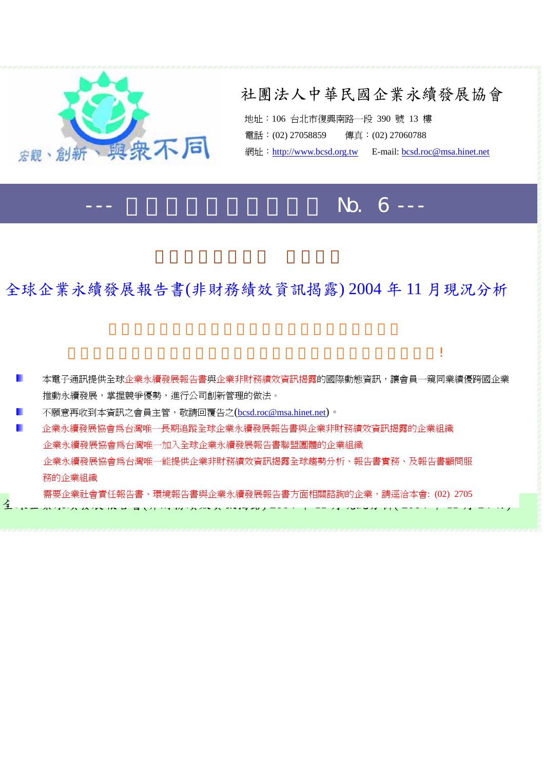

## 社團法人中華民國企業永續發展協會

地址:106 台北市復興南路一段 390 號 13 樓 電話:(02) 27058859 傳真:(02) 27060788 網址: [http://www.bcsd.org.tw](http://www.bcsd.org.tw/) E-mail: [bcsd.roc@msa.hinet.net](mailto:bcsd.roc@msa.hinet.net)

# --- 企業永續發展電子通訊 No. 6 ---

## 全球企業永續發展報告書(非財務績效資訊揭露) 2004 年 11 月現況分析

者是我們信候的景氣。我們信候的景氣還是我們信候的景氣。我們信候的景氣還是我們信候的景氣。

■■本電子通訊提供全球企業永續發展報告書與企業非財務績效資訊揭露的國際動態資訊,讓會員一窺同業績優跨國企業 推動永續發展,掌握競爭優勢,進行公司創新管理的做法。 不願意再收到本資訊之會員主管,敬請回覆告之[\(bcsd.roc@msa.hinet.net](mailto:bcsd.roc@msa.hinet.net))。 企業永續發展協會為台灣唯一長期追蹤全球企業永續發展報告書與企業非財務績效資訊揭露的企業組織 П 企業永續發展協會為台灣唯一加入全球企業永續發展報告書聯盟團體的企業組織 企業永續發展協會為台灣唯一能提供企業非財務績效資訊揭露全球趨勢分析、報告書實務、及報告書顧問服 務的企業組織 需要企業社會責任報告書、環境報告書與企業永續發展報告書方面相關諮詢的企業,請逕洽本會: (02) 2705 $\frac{1}{2} \cdot \mathbf{v} = \mathbf{v} \cdot \mathbf{v} \cdot \mathbf{v} = \mathbf{v} \cdot \mathbf{v} \cdot \mathbf{v} \cdot \mathbf{v} \cdot \mathbf{v} \cdot \mathbf{v} \cdot \mathbf{v} \cdot \mathbf{v} \cdot \mathbf{v} \cdot \mathbf{v} \cdot \mathbf{v} \cdot \mathbf{v} \cdot \mathbf{v} \cdot \mathbf{v} \cdot \mathbf{v} \cdot \mathbf{v} \cdot \mathbf{v} \cdot \mathbf{v} \cdot \mathbf{v} \cdot \mathbf{v} \cdot \mathbf{v} \cdot \mathbf{v} \cdot \mathbf{v$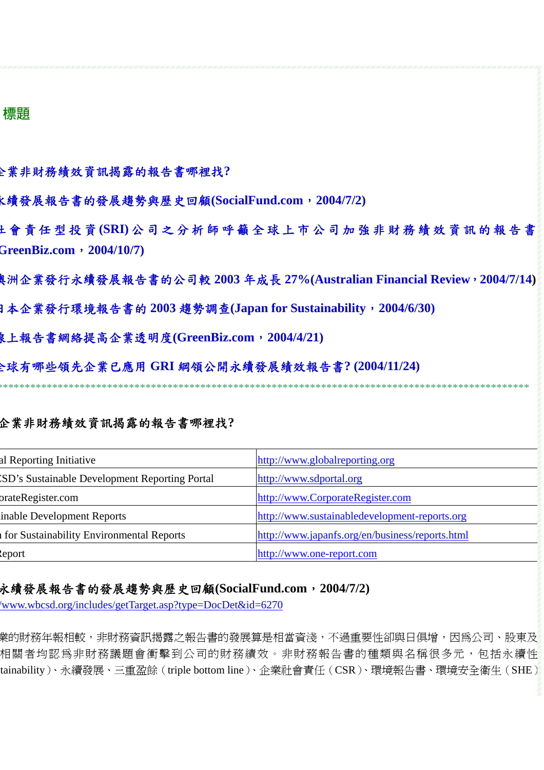#### **ᇾᗟ**

企業非財務績效資訊揭露的報告書哪裡找**?** 

永續發展報告書的發展趨勢與歷史回顧**(SocialFund.com**,**2004/7/2)** 

社 會 責 任 型 投 資 **(SRI)** 公司之分析師呼籲全球上市公司加強非財務績效資訊的報告書 **GreenBiz.com**,**2004/10/7)** 

澳洲企業發行永續發展報告書的公司較 **2003** 年成長 **27%(Australian Financial Review**,**2004/7/14)**

日本企業發行環境報告書的 **2003** 趨勢調查**(Japan for Sustainability**,**2004/6/30)** 

線上報告書網絡提高企業透明度**(GreenBiz.com**,**2004/4/21)** 

全球有哪些領先企業已應用 **GRI** 綱領公開永續發展績效報告書**? (2004/11/24)** 

\*\*\*\*\*\*\*\*\*\*\*\*\*\*\*\*\*\*\*\*\*\*\*\*\*\*\*\*\*\*\*\*\*\*\*\*\*\*\*\*\*\*\*\*\*\*\*\*\*\*\*\*\*\*\*\*\*\*\*\*\*\*\*\*\*\*\*\*\*\*\*\*\*\*\*\*\*\*\*\*\*\*\*\*\*\*\*\*\*\*\*\*\*\*\*\*\*

#### 企業非財務績效資訊揭露的報告書哪裡找**?**

| al Reporting Initiative                         | http://www.globalreporting.org                  |
|-------------------------------------------------|-------------------------------------------------|
| 'SD's Sustainable Development Reporting Portal  | http://www.sdportal.org                         |
| orateRegister.com                               | http://www.CorporateRegister.com                |
| inable Development Reports                      | http://www.sustainabledevelopment-reports.org   |
| <b>for Sustainability Environmental Reports</b> | http://www.japanfs.org/en/business/reports.html |
| leport                                          | http://www.one-report.com                       |

#### 永續發展報告書的發展趨勢與歷史回顧**(SocialFund.com**,**2004/7/2)**

/www.wbcsd.org/includes/getTarget.asp?type=DocDet&id=6270

業的財務年報相較,非財務資訊揭露之報告書的發展算是相當資淺,不過重要性卻與日俱增,因為公司、股東及 相關者均認為非財務題會衝擊到公司的財務績效。非財務報告書的種類與名稱很多元,包括永續性 tainability)、永續發展、三重盈餘(triple bottom line)、企業社會責任(CSR)、環境報告書、環境安全衛生(SHE)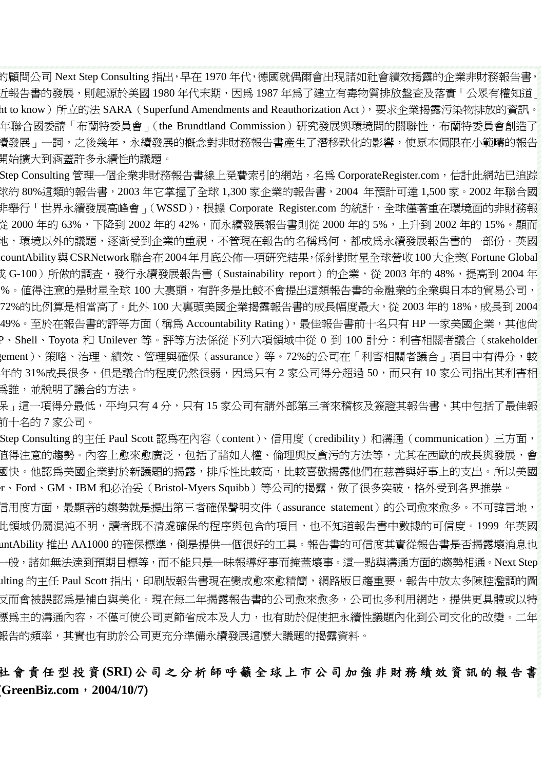的顧問公司 Next Step Consulting 指出,早在 1970 年代,德國就偶爾會出現諸如社會績效揭露的企業非財務報告書, 丘報告書的發展,則起源於美國 1980 年代末期,因爲 1987 年爲了建立有毒物質排放盤查及落實「公眾有權知道」 ht to know )所立的法 SARA(Superfund Amendments and Reauthorization Act ),要求企業揭露污染物排放的資訊。 年聯合國委請「布蘭特委員會」(the Brundtland Commission)研究發展與環境間的關聯性,布蘭特委員會創造了 讀發展」一詞,之後幾年,永續發展的概念對非財務報告書產生了潛移默化的影響,使原本侷限在小範疇的報告 開始擴大到涵蓋許多永續性的議題。

Step Consulting 管理一個企業非財務報告書線上免費索引的網站,名為 CorporateRegister.com,估計此網站已追踪 球約 80%這類的報告書,2003 年它掌握了全球 1,300 家企業的報告書,2004 年預計可達 1,500 家。2002 年聯合國 非舉行「世界永續發展高峰會」(WSSD),根據 Corporate Register.com 的統計,全球僅著重在環境面的非財務報 從 2000 年的 63%,下降到 2002 年的 42%,而永續發展報告書則從 2000 年的 5%,上升到 2002 年的 15%。顯而 地,環境以外的議題,逐漸受到企業的重視,不管現在報告的名稱為何,都成為永續發展報告書的一部份。英國 countAbility與CSRNetwork聯合在2004年月底公佈一項研究結果,係針對財星全球營收100大企業(Fortune Global 戉 G-100 ) 所做的調查,發行永續發展報告書(Sustainability report ) 的企業,從 2003 年的 48%,提高到 2004 年 %。值得注意的是財星全球 100 大裏頭,有許多是比較不會提出這類報告書的金融業的企業與日本的貿易公司, 72%的比例算是相當高了。此外 100 大裏頭美國企業揭露報告書的成長幅度最大,從 2003 年的 18%,成長到 2004 49%。至於在報告書的評等方面(稱爲 Accountability Rating),最佳報告書前十名只有 HP 一家美國企業,其他尙 P、Shell、Toyota 和 Unilever 等。評等方法係從下列六項領域中從 0 到 100 計分:利害相關者議合(stakeholder gement)、策略、治理、績效、管理與確保(assurance)等。72%的公司在「利害相關者議合」項目中有得分,較 年的 31%成長很多,但是議合的程度仍然很弱,因為只有 2 家公司得分超過 50,而只有 10 家公司指出其利害相 為誰,並說明了議合的方法。

呆 - 這一項得分最低,平均只有 4 分,只有 15 家公司有請外部第三者來稽核及簽證其報告書,其中包括了最佳報 前十名的 7 家公司。

Step Consulting 的主任 Paul Scott 認爲在內容(content)、信用度(credibility)和溝通(communication)三方面, 直得注意的趨勢。內容上愈來愈廣泛,包括了諸如人權、倫理與反貪污的方法等,尤其在西歐的成長與發展,會 國快。他認爲美國企業對於新議題的揭露,排斥性比較高,比較喜歡揭露他們在慈善與好事上的支出。所以美國 r、Ford、GM、IBM 和必治妥(Bristol-Myers Squibb)等公司的揭露,做了很多突破,格外受到各界推崇。

言用度方面,最顯著的趨勢就是提出第三者確保聲明文件(assurance statement)的公司愈來愈多。不可諱言地, 此領域仍屬混沌不明,讀者既不清處確保的程序與包含的項目,也不知道報告書中數據的可信度。1999 年英國 untAbility 推出 AA1000 的確保標準,倒是提供一個很好的工具。報告書的可信度其實從報告書是否揭露壞消息也 一般,諸如無法達到預期目標等,而不能只是一昧報導好事而掩蓋壞事。這一點與溝通方面的趨勢相通。Next Step ılting 的主任 Paul Scott 指出,印刷版報告書現在變成愈來愈精簡,網路版日趨重要,報告中放太多陳腔濫調的圖 又而會被誤認爲是補白與美化。現在每二年揭露報告書的公司愈來愈多,公司也多利用網站,提供更具體或以特 標為主的溝通內容,不僅可使公司更節省成本及人力,也有助於促使把永續性議題內化到公司文化的改變。二年 報告的頻率,其實也有助於公司更充分準備永續發展這麼大議題的揭露資料。

### 社 會 責 任 型 投 資 **(SRI)** 公司之分析師呼籲全球上市公司加 強非財務績效資訊的報告書 **(GreenBiz.com**,**2004/10/7)**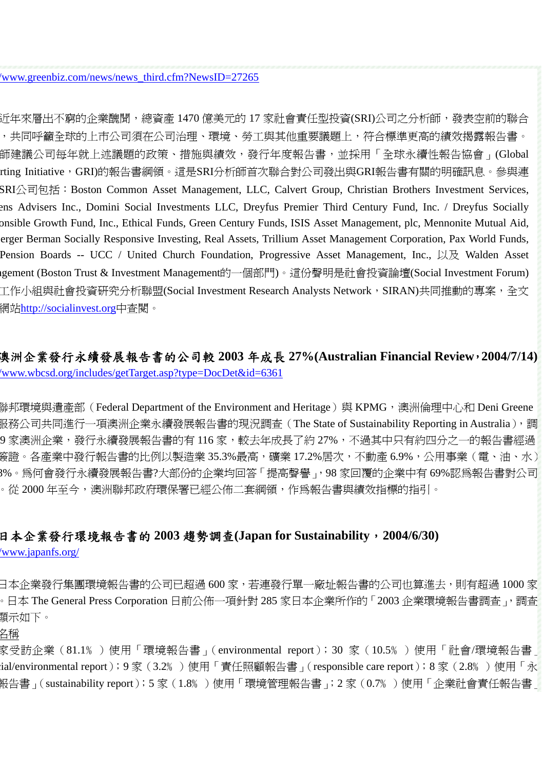#### /www.greenbiz.com/news/news\_third.cfm?NewsID=27265

近年來層出不窮的企業醜聞,總資產 1470 億美元的 17 家社會責任型投資(SRI)公司之分析師,發表空前的聯合 ,共同呼籲全球的上市公司須在公司治理、環境、勞工與其他重要議題上,符合標準更高的績效揭露報告書。 師建議公司每年就上述議題的政策、措施與績效,發行年度報告書,並採用「全球永續性報告協會」(Global rting Initiative,GRI)的報告書綱領。這是SRI分析師首次聯合對公司發出與GRI報告書有關的明確訊息。參與連 SRI公司包括: Boston Common Asset Management, LLC, Calvert Group, Christian Brothers Investment Services, ens Advisers Inc., Domini Social Investments LLC, Dreyfus Premier Third Century Fund, Inc. / Dreyfus Socially onsible Growth Fund, Inc., Ethical Funds, Green Century Funds, ISIS Asset Management, plc, Mennonite Mutual Aid, berger Berman Socially Responsive Investing, Real Assets, Trillium Asset Management Corporation, Pax World Funds, Pension Boards -- UCC / United Church Foundation, Progressive Asset Management, Inc., 以及 Walden Asset agement (Boston Trust & Investment Management的一個部門)。這份聲明是社會投資論壇(Social Investment Forum) 工作小組與社會投資研究分析聯盟(Social Investment Research Analysts Network,SIRAN)共同推動的專案,全文 網站[http://socialinvest.org](http://socialinvest.org/)中杳閱。

### 澳洲企業發行永續發展報告書的公司較 **2003** 年成長 **27%(Australian Financial Review**,**2004/7/14)** /www.wbcsd.org/includes/getTarget.asp?type=DocDet&id=6361

聯邦環境與遺產部(Federal Department of the Environment and Heritage)與 KPMG,澳洲倫理中心和 Deni Greene 服務公司共同進行一項澳洲企業永續發展報告書的現況調查(The State of Sustainability Reporting in Australia),調 9 家澳洲企業,發行永續發展報告書的有 116 家,較去年成長了約 27%,不過其中只有約四分之一的報告書經過 簽證。各產業中發行報告書的比例以製造業 35.3%最高,礦業 17.2%居次,不動產 6.9%,公用事業(電、油、水) 8%。為何會發行永續發展報告書?大部份的企業均回答「提高聲譽」,98 家回覆的企業中有 69%認為報告書對公司 。從 2000 年至今,澳洲聯邦政府環保署已經公佈二套綱領,作為報告書與績效指標的指引。

### 日本企業發行環境報告書的 **2003** 趨勢調查**(Japan for Sustainability**,**2004/6/30)**

/www.japanfs.org/

日本企業發行集團環境報告書的公司已超過 600 家,若連發行單一廠址報告書的公司也算進去,則有超過 1000 家 。日本 The General Press Corporation 日前公佈一項針對 285 家日本企業所作的「2003 企業環境報告書調查 」,調查 顯示如下。

#### 名稱

家受訪企業(81.1﹪)使用「環境報告書」(environmental report);30 家(10.5﹪)使用「社會/環境報告書」 ial/environmental report);9 家(3.2‰)使用「責任照顧報告書」(responsible care report);8 家(2.8‰)使用「永 報告書」(sustainability report);5 家(1.8﹪)使用「環境管理報告書」;2 家(0.7﹪)使用「企業社會責任報告書」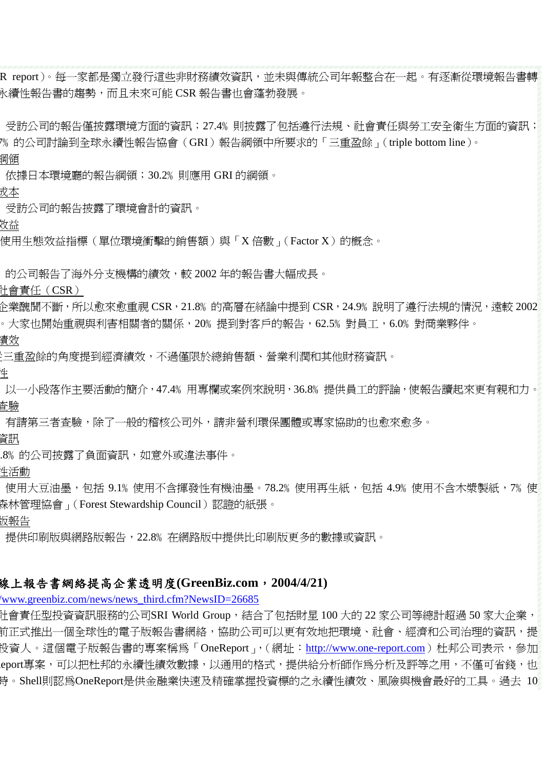R report)。每一家都是獨立發行這些非財務績效資訊,並未與傳統公司年報整合在一起。有逐漸從環境報告書轉 永續性報告書的趨勢,而且未來可能 CSR 報告書也會蓬勃發展。

受訪公司的報告僅披露環境方面的資訊;27.4% 則披露了包括遵行法規、社會責任與勞工安全衛生方面的資訊; 7% 的公司討論到全球永續性報告協會(GRI)報告綱領中所要求的「三重盈餘」(triple bottom line)。 綱領

依據日本環境廳的報告綱領;30.2﹪則應用 GRI 的綱領。

成本

受訪公司的報告披露了環境會計的資訊。

效益

使用生態效益指標(單位環境衝擊的銷售額)與「X 倍數」(Factor X)的概念。

的公司報告了海外分支機構的績效,較 2002 年的報告書大幅成長。

社會責任(CSR)

 $\lozenge$ 業醜聞不斷,所以愈來愈重視 CSR,21.8‰ 的高層在緒論中提到 CSR,24.9‰說明了遵行法規的情況,遠較 2002 。大家也開始重視與利害相關者的關係,20﹪提到對客戶的報告,62.5﹪對員工,6.0﹪對商業夥伴。

績效

從三重盈餘的角度提到經濟績效,不過僅限於總銷售額、營業利潤和其他財務資訊。

性

以一小段落作主要活動的簡介,47.4% 用專欄或案例來說明,36.8% 提供員工的評論,使報告讀起來更有親和力。 查驗

有請第三者查驗,除了一般的稽核公司外,請非營利環保團體或專家協助的也愈來愈多。

資訊

.8﹪的公司披露了負面資訊,如意外或違法事件。

性活動

使用大豆油墨,包括 9.1% 使用不含揮發性有機油墨。78.2% 使用再生紙,包括 4.9% 使用不含木漿製紙,7% 使 森林管理協會」(Forest Stewardship Council)認證的紙張。

版報告

提供印刷版與網路版報告,22.8﹪在網路版中提供比印刷版更多的數據或資訊。

#### 線上報告書網絡提高企業透明度**(GreenBiz.com**,**2004/4/21)**

/www.greenbiz.com/news/news\_third.cfm?NewsID=26685

社會責任型投資資訊服務的公司SRI World Group,結合了包括財星 100 大的 22 家公司等總計超過 50 家大企業, 前正式推出一個全球性的電子版報告書網絡,協助公司可以更有效地把環境、社會、經濟和公司治理的資訊,提 投資人。這個電子版報告書的專案稱為「OneReport 」,(網址:[http://www.one-report.com](http://www.one-report.com/))杜邦公司表示,參加 eport專案,可以把杜邦的永續性績效數據,以通用的格式,提供給分析師作爲分析及評等之用,不僅可省錢,也 時。Shell則認為OneReport是供金融業快速及精確掌握投資標的之永續性績效、風險與機會最好的工具。過去 10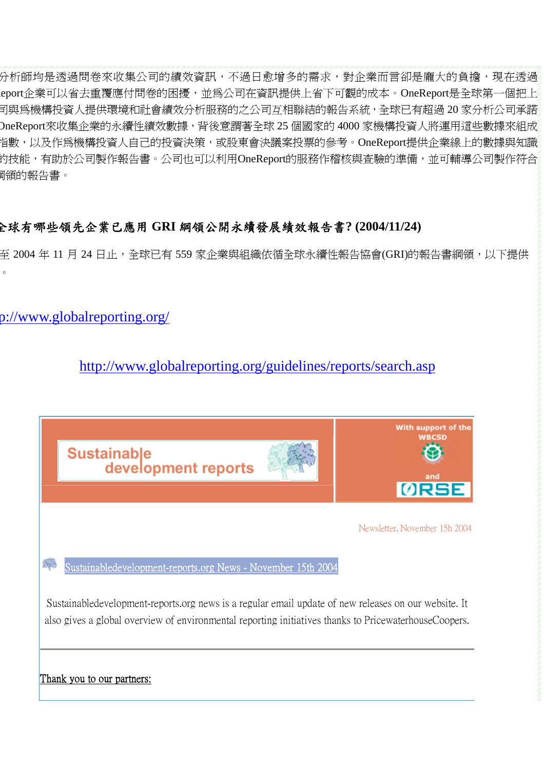分析師均是透過問卷來收集公司的績效資訊,不過日愈增多的需求,對企業而言卻是龐大的負擔,現在透過 eport企業可以省去重覆應付問卷的困擾,並為公司在資訊提供上省下可觀的成本。OneReport是全球第一個把上 司與為機構投資人提供環境和社會績效分析服務的之公司互相聯結的報告系統,全球已有超過 20 家分析公司承諾 OneReport來收集企業的永續性績效數據,背後意謂著全球 25 個國家的 4000 家機構投資人將運用這些數據來組成 指數,以及作為機構投資人自己的投資決策,或股東會決議案投票的參考。OneReport提供企業線上的數據與知識 的技能,有助於公司製作報告書。公司也可以利用OneReport的服務作稽核與查驗的準備,並可輔導公司製作符合 綱領的報告書。

## 全球有哪些領先企業已應用 **GRI** 綱領公開永續發展績效報告書**? (2004/11/24)**

至 2004 年 11 月 24 日止,全球已有 559 家企業與組織依循全球永續性報告協會(GRI)的報告書綱領,以下提供  $\circ$ 

p://www.globalreporting.org/

## <http://www.globalreporting.org/guidelines/reports/search.asp>

|                                                                                                                                                                                                               | <b>Sustainable</b><br>development reports | With support of the<br>WBCSD<br><b>ORSE</b> |  |
|---------------------------------------------------------------------------------------------------------------------------------------------------------------------------------------------------------------|-------------------------------------------|---------------------------------------------|--|
|                                                                                                                                                                                                               |                                           | Newsletter, November 15h 2004               |  |
| Sustainabledevelopment-reports.org News - November 15th 2004                                                                                                                                                  |                                           |                                             |  |
| Sustainabledevelopment-reports.org news is a regular email update of new releases on our website. It<br>also gives a global overview of environmental reporting initiatives thanks to PricewaterhouseCoopers. |                                           |                                             |  |
| Thank you to our partners:                                                                                                                                                                                    |                                           |                                             |  |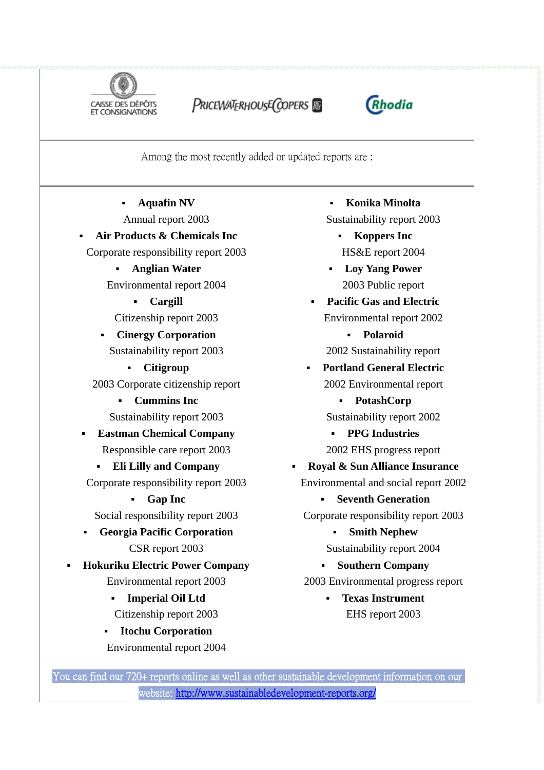

PRICEWATERHOUSE COPERS



Among the most recently added or updated reports are :

**Aquafin NV**

Annual report 2003

## **Air Products & Chemicals Inc**

Corporate responsibility report 2003

- **Anglian Water** Environmental report 2004
	- **Cargill**

Citizenship report 2003

- **Cinergy Corporation**  Sustainability report 2003
	- **Citigroup**

2003 Corporate citizenship report

- **Cummins Inc**  Sustainability report 2003
- **Eastman Chemical Company**  Responsible care report 2003
- **Eli Lilly and Company**  Corporate responsibility report 2003
	- **Gap Inc**  Social responsibility report 2003
- **Georgia Pacific Corporation**  CSR report 2003
- **Hokuriku Electric Power Company**  Environmental report 2003
	- **Imperial Oil Ltd**  Citizenship report 2003
	- **Itochu Corporation**  Environmental report 2004

**Konika Minolta** 

Sustainability report 2003

- **Koppers Inc**  HS&E report 2004
- **Loy Yang Power** 2003 Public report
- **Pacific Gas and Electric** Environmental report 2002

 **Polaroid**  2002 Sustainability report

 **Portland General Electric**  2002 Environmental report

 **PotashCorp** Sustainability report 2002

**PPG Industries**

2002 EHS progress report

- **Royal & Sun Alliance Insurance** 
	- Environmental and social report 2002

 **Seventh Generation**  Corporate responsibility report 2003

**Smith Nephew**

Sustainability report 2004

**Southern Company** 

2003 Environmental progress report

 **Texas Instrument** EHS report 2003

You can find our 720+ reports online as well as other sustainable development information on our website:<http://www.sustainabledevelopment-reports.org/>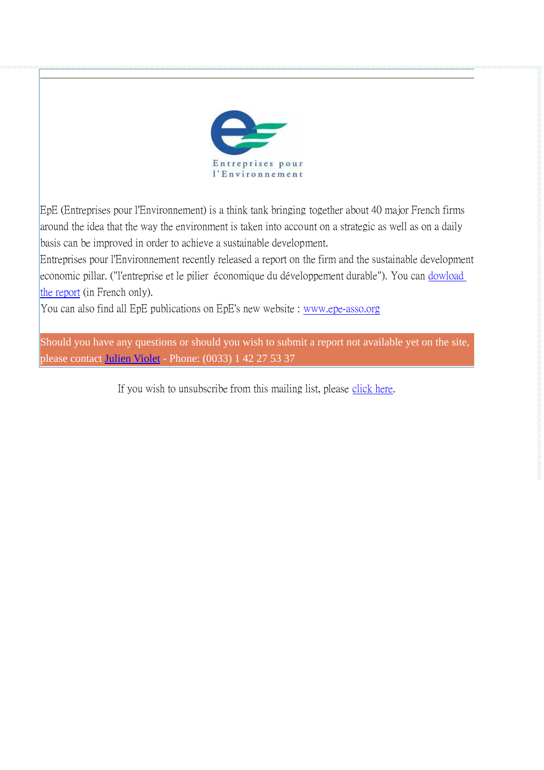

EpE (Entreprises pour l'Environnement) is a think tank bringing together about 40 major French firms around the idea that the way the environment is taken into account on a strategic as well as on a daily basis can be improved in order to achieve a sustainable development.

Entreprises pour l'Environnement recently released a report on the firm and the sustainable development economic pillar. ("l'entreprise et le pilier économique du développement durable"). You can [dowload](http://www.mysql-epe.com/pdf_rap/EpE_rapports_et_documents32.pdf)  [the report](http://www.mysql-epe.com/pdf_rap/EpE_rapports_et_documents32.pdf) (in French only).

You can also find all EpE publications on EpE's new website : [www.epe-asso.org](http://www.epe-asso.org/)

Should you have any questions or should you wish to submit a report not available yet on the site, please contact [Julien Violet](mailto:Julien.violet@sustainabledevelopment-reports.org) - Phone: (0033) 1 42 27 53 37

If you wish to unsubscribe from this mailing list, please [click here.](http://www.sustainreports.org/en/php/newsletter/del.php)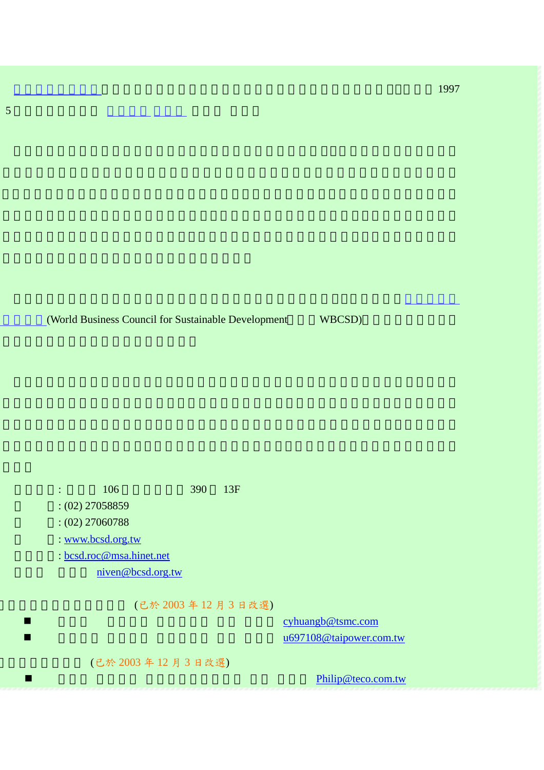$1997\,$ 

(World Business Council for Sustainable Development WBCSD)

 $\therefore$  106 390 13F

5 <mark>1 月 年 10 月 年 10 月 年 10 月 年 10 月 年 1</mark>

: (02) 27058859

: (02) 27060788

: [www.bcsd.org.tw](http://www.bcsd.org.tw/)

: [bcsd.roc@msa.hinet.net](mailto:bcsd.roc@msa.hinet.net)

[niven@bcsd.org.tw](mailto:niven@bcsd.org.tw)

(已於 2003 年 12 月 3 日改選)

[cyhuangb@tsmc.com](mailto:cyhuangb@tsmc.com) [u697108@taipower.com.tw](mailto:u697108@taipower.com.tw)

(已於 2003 年 12 月 3 日改選)

 $\blacksquare$